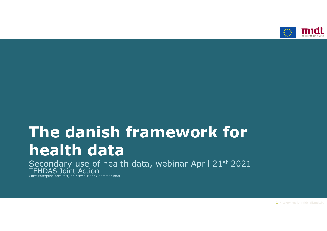

# and the danish framework for the danish framework for the danish framework for the same of the same of the same  $\sim$ **The danish framework**<br>**health data**<br>Secondary use of health data, webinar April 2<br>Diffilipas Joint Action

Secondary use of health data, webinar April 21st 2021 TEHDAS Joint Action

Chief Enterprise Architect, dr. scient. Henrik Hammer Jordt

 $1 \cdot$  www.regionmidtjylland.dk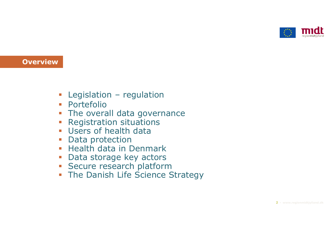

# **Overview**

- 
- **Portefolio**
- |<br>| Legislation regulation<br>| Portefolio<br>| The overall data governance **The overall data governance** -<br>
Legislation – regulation<br>
- Portefolio<br>
- The overall data governance<br>
- Registration situations<br>
- Users of health data<br>
- Data protection - Legislation – regulation<br>- Portefolio<br>- The overall data governance<br>- Registration situations<br>- Users of health data<br>- Data protection<br>- Health data in Denmark
- 
- 
- **Data protection**
- **Health data in Denmark**
- 
- **Secure research platform**
- Legislation regulation<br>• Portefolio<br>• The overall data governance<br>• Registration situations<br>• Users of health data<br>• Data protection<br>• Health data in Denmark<br>• Data storage key actors<br>• Secure research platform<br>• The D **The Danish Life Science Strategy**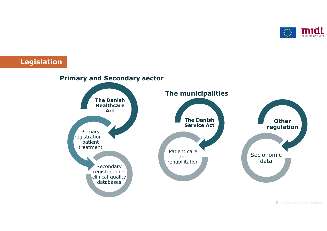

Legislation

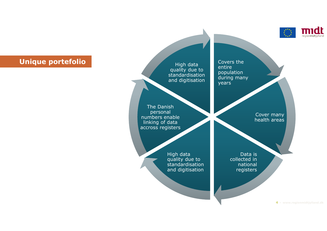

# Unique portefolio

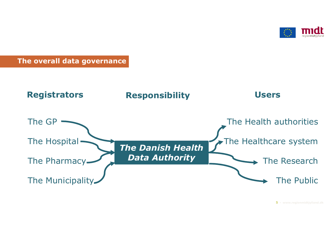

# The overall data governance

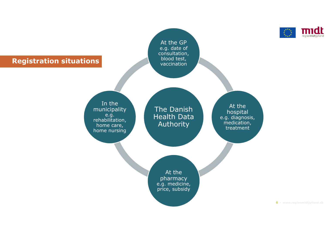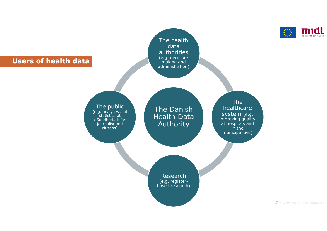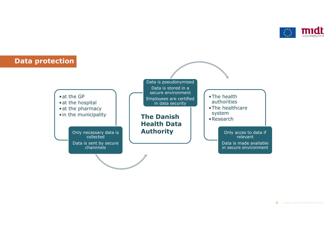

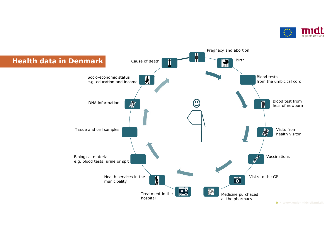

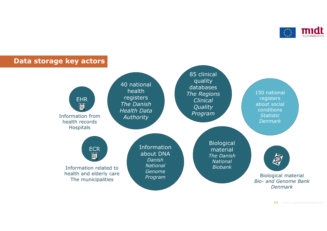

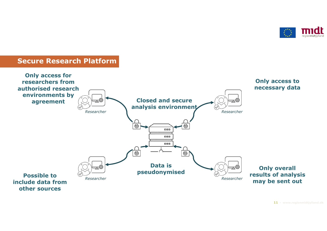

# Secure Research Platform

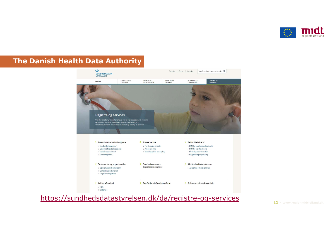

# The Danish Health Data Authority



https://sundhedsdatastyrelsen.dk/da/registre-og-services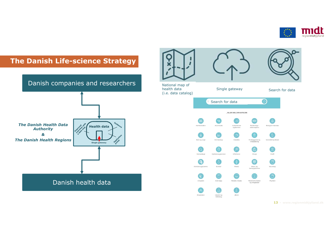

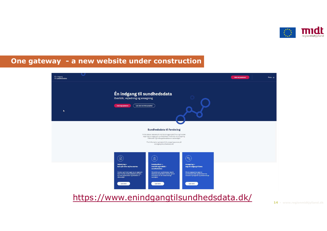



https://www.enindgangtilsundhedsdata.dk/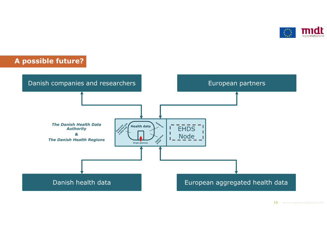



 $15$   $\cdot$  www.regionmidtjylland.dk